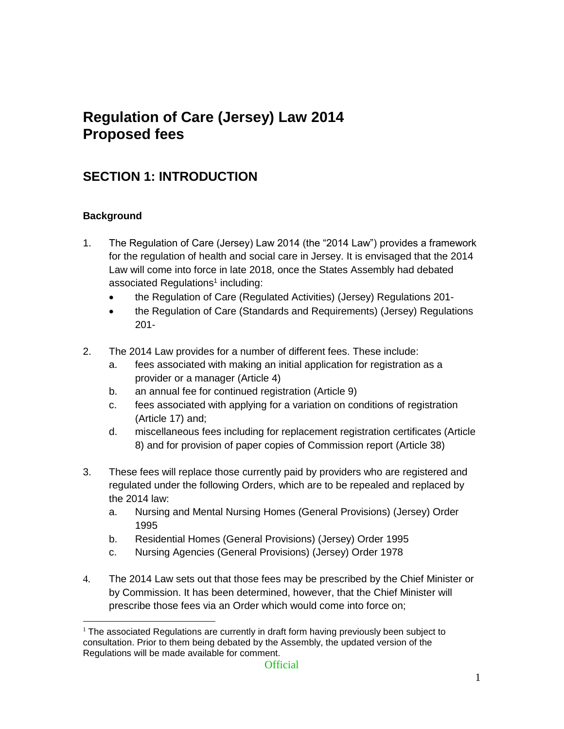# **Regulation of Care (Jersey) Law 2014 Proposed fees**

## **SECTION 1: INTRODUCTION**

#### **Background**

- 1. The Regulation of Care (Jersey) Law 2014 (the "2014 Law") provides a framework for the regulation of health and social care in Jersey. It is envisaged that the 2014 Law will come into force in late 2018, once the States Assembly had debated associated Regulations<sup>1</sup> including:
	- the Regulation of Care (Regulated Activities) (Jersey) Regulations 201-
	- the Regulation of Care (Standards and Requirements) (Jersey) Regulations 201-
- 2. The 2014 Law provides for a number of different fees. These include:
	- a. fees associated with making an initial application for registration as a provider or a manager (Article 4)
	- b. an annual fee for continued registration (Article 9)
	- c. fees associated with applying for a variation on conditions of registration (Article 17) and;
	- d. miscellaneous fees including for replacement registration certificates (Article 8) and for provision of paper copies of Commission report (Article 38)
- 3. These fees will replace those currently paid by providers who are registered and regulated under the following Orders, which are to be repealed and replaced by the 2014 law:
	- a. Nursing and Mental Nursing Homes (General Provisions) (Jersey) Order 1995
	- b. Residential Homes (General Provisions) (Jersey) Order 1995
	- c. Nursing Agencies (General Provisions) (Jersey) Order 1978
- 4. The 2014 Law sets out that those fees may be prescribed by the Chief Minister or by Commission. It has been determined, however, that the Chief Minister will prescribe those fees via an Order which would come into force on;

 $<sup>1</sup>$  The associated Regulations are currently in draft form having previously been subject to</sup> consultation. Prior to them being debated by the Assembly, the updated version of the Regulations will be made available for comment.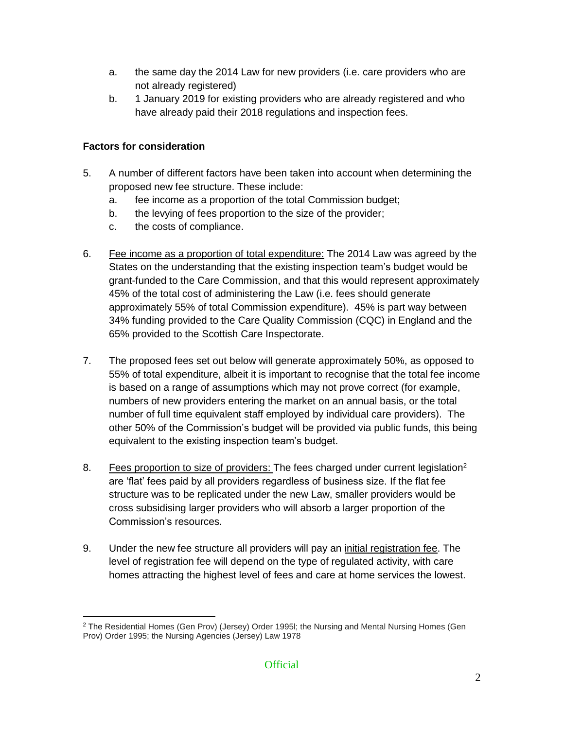- a. the same day the 2014 Law for new providers (i.e. care providers who are not already registered)
- b. 1 January 2019 for existing providers who are already registered and who have already paid their 2018 regulations and inspection fees.

#### **Factors for consideration**

- 5. A number of different factors have been taken into account when determining the proposed new fee structure. These include:
	- a. fee income as a proportion of the total Commission budget;
	- b. the levying of fees proportion to the size of the provider;
	- c. the costs of compliance.
- 6. Fee income as a proportion of total expenditure: The 2014 Law was agreed by the States on the understanding that the existing inspection team's budget would be grant-funded to the Care Commission, and that this would represent approximately 45% of the total cost of administering the Law (i.e. fees should generate approximately 55% of total Commission expenditure). 45% is part way between 34% funding provided to the Care Quality Commission (CQC) in England and the 65% provided to the Scottish Care Inspectorate.
- 7. The proposed fees set out below will generate approximately 50%, as opposed to 55% of total expenditure, albeit it is important to recognise that the total fee income is based on a range of assumptions which may not prove correct (for example, numbers of new providers entering the market on an annual basis, or the total number of full time equivalent staff employed by individual care providers). The other 50% of the Commission's budget will be provided via public funds, this being equivalent to the existing inspection team's budget.
- 8. Fees proportion to size of providers: The fees charged under current legislation<sup>2</sup> are 'flat' fees paid by all providers regardless of business size. If the flat fee structure was to be replicated under the new Law, smaller providers would be cross subsidising larger providers who will absorb a larger proportion of the Commission's resources.
- 9. Under the new fee structure all providers will pay an initial registration fee. The level of registration fee will depend on the type of regulated activity, with care homes attracting the highest level of fees and care at home services the lowest.

<sup>&</sup>lt;sup>2</sup> The Residential Homes (Gen Prov) (Jersey) Order 1995l; the Nursing and Mental Nursing Homes (Gen Prov) Order 1995; the Nursing Agencies (Jersey) Law 1978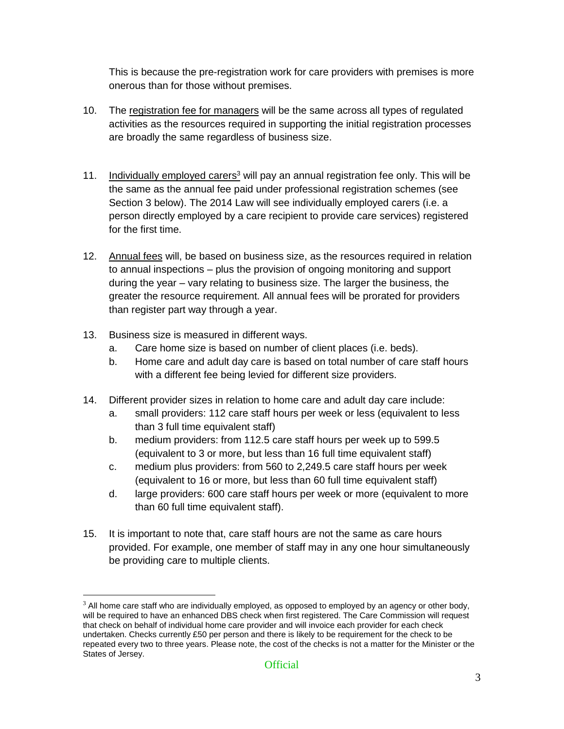This is because the pre-registration work for care providers with premises is more onerous than for those without premises.

- 10. The registration fee for managers will be the same across all types of regulated activities as the resources required in supporting the initial registration processes are broadly the same regardless of business size.
- 11. Individually employed carers<sup>3</sup> will pay an annual registration fee only. This will be the same as the annual fee paid under professional registration schemes (see Section 3 below). The 2014 Law will see individually employed carers (i.e. a person directly employed by a care recipient to provide care services) registered for the first time.
- 12. Annual fees will, be based on business size, as the resources required in relation to annual inspections – plus the provision of ongoing monitoring and support during the year – vary relating to business size. The larger the business, the greater the resource requirement. All annual fees will be prorated for providers than register part way through a year.
- 13. Business size is measured in different ways.

- a. Care home size is based on number of client places (i.e. beds).
- b. Home care and adult day care is based on total number of care staff hours with a different fee being levied for different size providers.
- 14. Different provider sizes in relation to home care and adult day care include:
	- a. small providers: 112 care staff hours per week or less (equivalent to less than 3 full time equivalent staff)
	- b. medium providers: from 112.5 care staff hours per week up to 599.5 (equivalent to 3 or more, but less than 16 full time equivalent staff)
	- c. medium plus providers: from 560 to 2,249.5 care staff hours per week (equivalent to 16 or more, but less than 60 full time equivalent staff)
	- d. large providers: 600 care staff hours per week or more (equivalent to more than 60 full time equivalent staff).
- 15. It is important to note that, care staff hours are not the same as care hours provided. For example, one member of staff may in any one hour simultaneously be providing care to multiple clients.

 $3$  All home care staff who are individually employed, as opposed to employed by an agency or other body, will be required to have an enhanced DBS check when first registered. The Care Commission will request that check on behalf of individual home care provider and will invoice each provider for each check undertaken. Checks currently £50 per person and there is likely to be requirement for the check to be repeated every two to three years. Please note, the cost of the checks is not a matter for the Minister or the States of Jersey.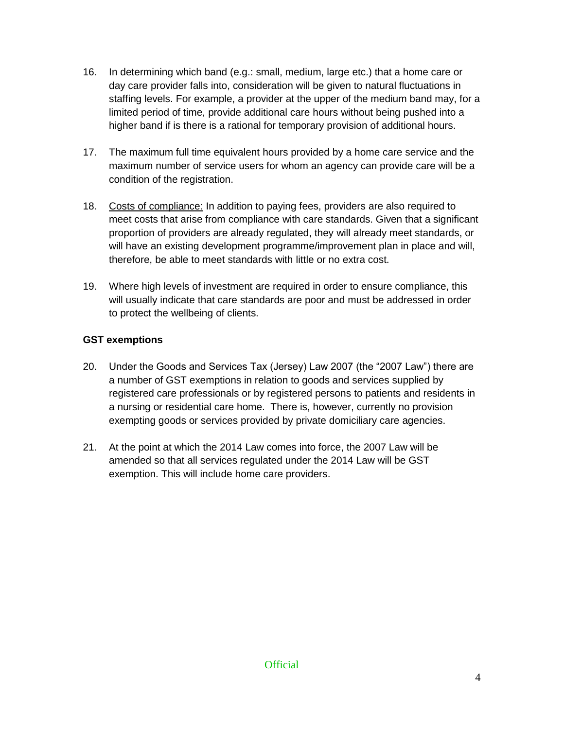- 16. In determining which band (e.g.: small, medium, large etc.) that a home care or day care provider falls into, consideration will be given to natural fluctuations in staffing levels. For example, a provider at the upper of the medium band may, for a limited period of time, provide additional care hours without being pushed into a higher band if is there is a rational for temporary provision of additional hours.
- 17. The maximum full time equivalent hours provided by a home care service and the maximum number of service users for whom an agency can provide care will be a condition of the registration.
- 18. Costs of compliance: In addition to paying fees, providers are also required to meet costs that arise from compliance with care standards. Given that a significant proportion of providers are already regulated, they will already meet standards, or will have an existing development programme/improvement plan in place and will, therefore, be able to meet standards with little or no extra cost.
- 19. Where high levels of investment are required in order to ensure compliance, this will usually indicate that care standards are poor and must be addressed in order to protect the wellbeing of clients.

### **GST exemptions**

- 20. Under the Goods and Services Tax (Jersey) Law 2007 (the "2007 Law") there are a number of GST exemptions in relation to goods and services supplied by registered care professionals or by registered persons to patients and residents in a nursing or residential care home. There is, however, currently no provision exempting goods or services provided by private domiciliary care agencies.
- 21. At the point at which the 2014 Law comes into force, the 2007 Law will be amended so that all services regulated under the 2014 Law will be GST exemption. This will include home care providers.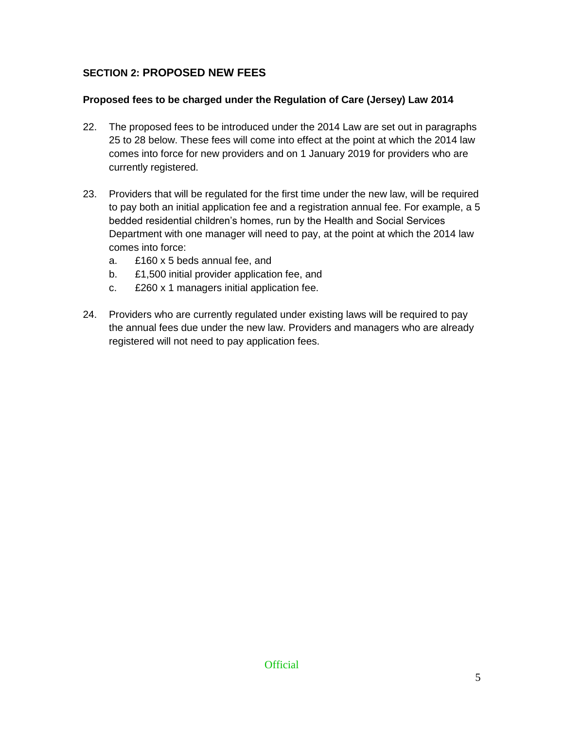#### **SECTION 2: PROPOSED NEW FEES**

#### **Proposed fees to be charged under the Regulation of Care (Jersey) Law 2014**

- 22. The proposed fees to be introduced under the 2014 Law are set out in paragraphs 25 to 28 below. These fees will come into effect at the point at which the 2014 law comes into force for new providers and on 1 January 2019 for providers who are currently registered.
- 23. Providers that will be regulated for the first time under the new law, will be required to pay both an initial application fee and a registration annual fee. For example, a 5 bedded residential children's homes, run by the Health and Social Services Department with one manager will need to pay, at the point at which the 2014 law comes into force:
	- a. £160 x 5 beds annual fee, and
	- b. £1,500 initial provider application fee, and
	- c. £260 x 1 managers initial application fee.
- 24. Providers who are currently regulated under existing laws will be required to pay the annual fees due under the new law. Providers and managers who are already registered will not need to pay application fees.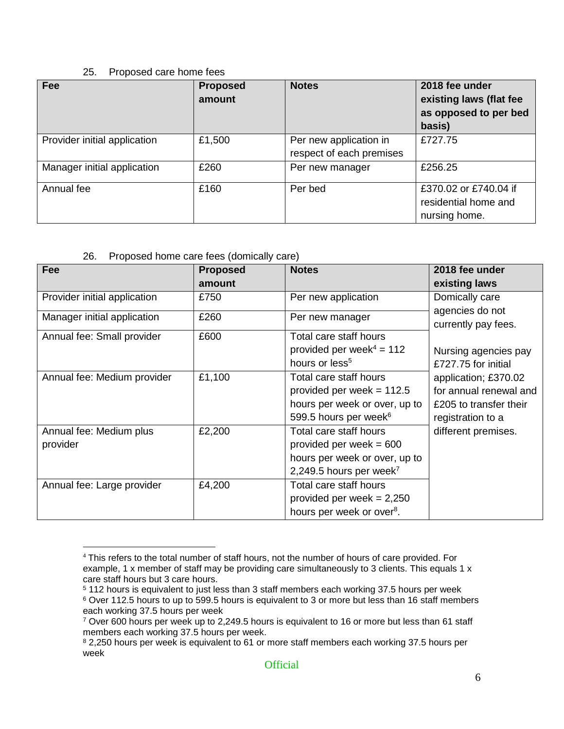#### 25. Proposed care home fees

| <b>Fee</b>                   | <b>Proposed</b><br>amount | <b>Notes</b>                                       | 2018 fee under<br>existing laws (flat fee<br>as opposed to per bed<br>basis) |
|------------------------------|---------------------------|----------------------------------------------------|------------------------------------------------------------------------------|
| Provider initial application | £1,500                    | Per new application in<br>respect of each premises | £727.75                                                                      |
| Manager initial application  | £260                      | Per new manager                                    | £256.25                                                                      |
| Annual fee                   | £160                      | Per bed                                            | £370.02 or £740.04 if<br>residential home and<br>nursing home.               |

#### 26. Proposed home care fees (domically care)

| <b>Fee</b>                          | <b>Proposed</b> | <b>Notes</b>                                                                                                                | 2018 fee under                                                                                |
|-------------------------------------|-----------------|-----------------------------------------------------------------------------------------------------------------------------|-----------------------------------------------------------------------------------------------|
|                                     | amount          |                                                                                                                             | existing laws                                                                                 |
| Provider initial application        | £750            | Per new application                                                                                                         | Domically care                                                                                |
| Manager initial application         | £260            | Per new manager                                                                                                             | agencies do not<br>currently pay fees.                                                        |
| Annual fee: Small provider          | £600            | Total care staff hours<br>provided per week <sup>4</sup> = $112$<br>hours or less <sup>5</sup>                              | Nursing agencies pay<br>£727.75 for initial                                                   |
| Annual fee: Medium provider         | £1,100          | Total care staff hours<br>provided per week = $112.5$<br>hours per week or over, up to<br>599.5 hours per week <sup>6</sup> | application; £370.02<br>for annual renewal and<br>£205 to transfer their<br>registration to a |
| Annual fee: Medium plus<br>provider | £2,200          | Total care staff hours<br>provided per week $= 600$<br>hours per week or over, up to<br>2,249.5 hours per week <sup>7</sup> | different premises.                                                                           |
| Annual fee: Large provider          | £4,200          | Total care staff hours<br>provided per week = $2,250$<br>hours per week or over <sup>8</sup> .                              |                                                                                               |

 $\overline{a}$ <sup>4</sup> This refers to the total number of staff hours, not the number of hours of care provided. For example, 1 x member of staff may be providing care simultaneously to 3 clients. This equals 1 x care staff hours but 3 care hours.

<sup>5</sup> 112 hours is equivalent to just less than 3 staff members each working 37.5 hours per week

<sup>6</sup> Over 112.5 hours to up to 599.5 hours is equivalent to 3 or more but less than 16 staff members each working 37.5 hours per week

<sup>7</sup> Over 600 hours per week up to 2,249.5 hours is equivalent to 16 or more but less than 61 staff members each working 37.5 hours per week.

<sup>&</sup>lt;sup>8</sup> 2,250 hours per week is equivalent to 61 or more staff members each working 37.5 hours per week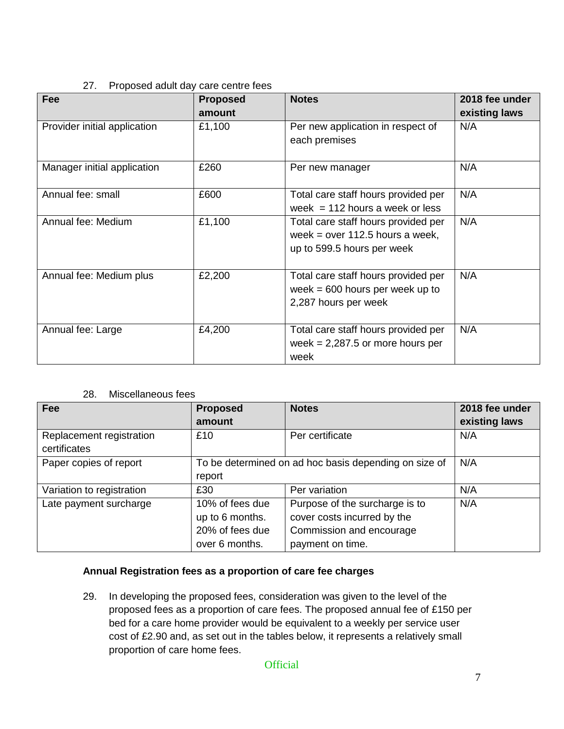#### 27. Proposed adult day care centre fees

| Fee                          | <b>Proposed</b><br>amount | <b>Notes</b>                                                                                           | 2018 fee under<br>existing laws |
|------------------------------|---------------------------|--------------------------------------------------------------------------------------------------------|---------------------------------|
| Provider initial application | £1,100                    | Per new application in respect of<br>each premises                                                     | N/A                             |
| Manager initial application  | £260                      | Per new manager                                                                                        | N/A                             |
| Annual fee: small            | £600                      | Total care staff hours provided per<br>week = $112$ hours a week or less                               | N/A                             |
| Annual fee: Medium           | £1,100                    | Total care staff hours provided per<br>week = $over 112.5$ hours a week,<br>up to 599.5 hours per week | N/A                             |
| Annual fee: Medium plus      | £2,200                    | Total care staff hours provided per<br>week $= 600$ hours per week up to<br>2,287 hours per week       | N/A                             |
| Annual fee: Large            | £4,200                    | Total care staff hours provided per<br>week = $2,287.5$ or more hours per<br>week                      | N/A                             |

#### 28. Miscellaneous fees

| <b>Fee</b>                | <b>Proposed</b>                                       | <b>Notes</b>                   | 2018 fee under |
|---------------------------|-------------------------------------------------------|--------------------------------|----------------|
|                           | amount                                                |                                | existing laws  |
| Replacement registration  | £10                                                   | Per certificate                | N/A            |
| certificates              |                                                       |                                |                |
| Paper copies of report    | To be determined on ad hoc basis depending on size of |                                | N/A            |
|                           | report                                                |                                |                |
| Variation to registration | £30                                                   | Per variation                  | N/A            |
| Late payment surcharge    | 10% of fees due                                       | Purpose of the surcharge is to | N/A            |
|                           | up to 6 months.                                       | cover costs incurred by the    |                |
|                           | 20% of fees due                                       | Commission and encourage       |                |
|                           | over 6 months.                                        | payment on time.               |                |

#### **Annual Registration fees as a proportion of care fee charges**

29. In developing the proposed fees, consideration was given to the level of the proposed fees as a proportion of care fees. The proposed annual fee of £150 per bed for a care home provider would be equivalent to a weekly per service user cost of £2.90 and, as set out in the tables below, it represents a relatively small proportion of care home fees.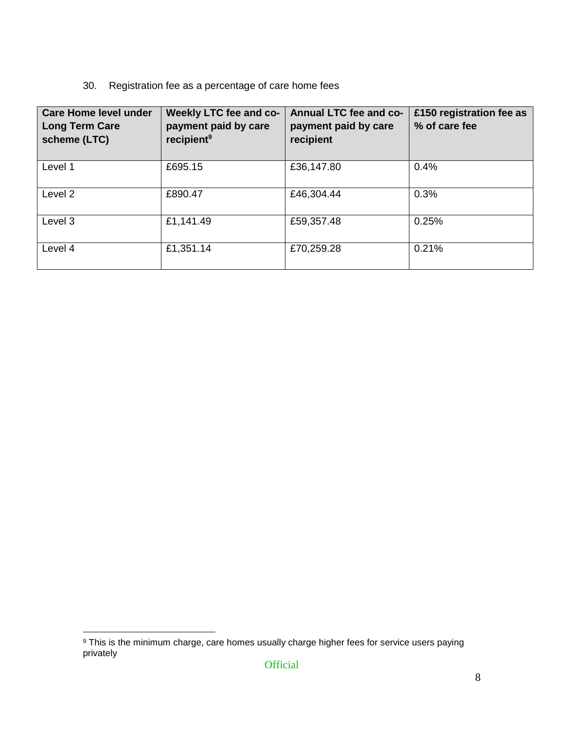### 30. Registration fee as a percentage of care home fees

| <b>Care Home level under</b><br><b>Long Term Care</b><br>scheme (LTC) | Weekly LTC fee and co-<br>payment paid by care<br>recipient <sup>9</sup> | <b>Annual LTC fee and co-</b><br>payment paid by care<br>recipient | £150 registration fee as<br>% of care fee |
|-----------------------------------------------------------------------|--------------------------------------------------------------------------|--------------------------------------------------------------------|-------------------------------------------|
| Level 1                                                               | £695.15                                                                  | £36,147.80                                                         | 0.4%                                      |
| Level 2                                                               | £890.47                                                                  | £46,304.44                                                         | 0.3%                                      |
| Level 3                                                               | £1,141.49                                                                | £59,357.48                                                         | 0.25%                                     |
| Level 4                                                               | £1,351.14                                                                | £70,259.28                                                         | 0.21%                                     |

 $9$  This is the minimum charge, care homes usually charge higher fees for service users paying privately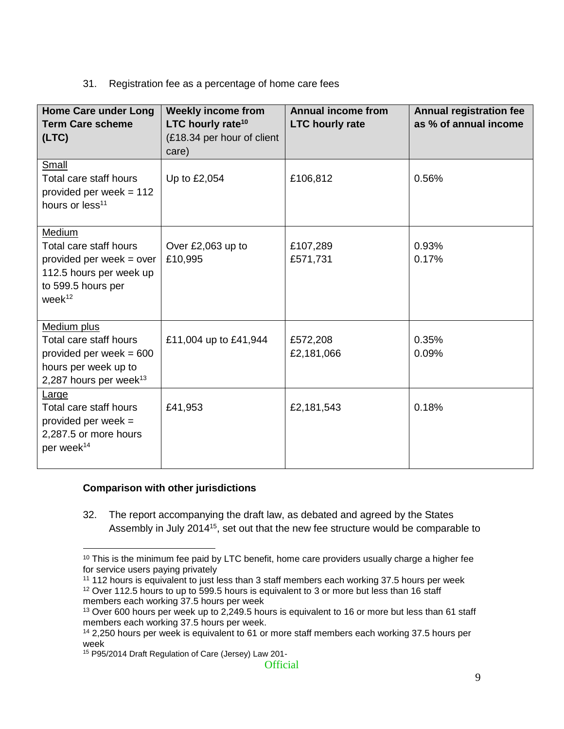#### 31. Registration fee as a percentage of home care fees

| <b>Home Care under Long</b><br><b>Term Care scheme</b><br>(LTC)                                                              | <b>Weekly income from</b><br>LTC hourly rate <sup>10</sup><br>(£18.34 per hour of client<br>care) | <b>Annual income from</b><br><b>LTC hourly rate</b> | <b>Annual registration fee</b><br>as % of annual income |
|------------------------------------------------------------------------------------------------------------------------------|---------------------------------------------------------------------------------------------------|-----------------------------------------------------|---------------------------------------------------------|
| Small<br>Total care staff hours<br>provided per week = $112$<br>hours or less <sup>11</sup>                                  | Up to £2,054                                                                                      | £106,812                                            | 0.56%                                                   |
| Medium<br>Total care staff hours<br>provided per week = over<br>112.5 hours per week up<br>to 599.5 hours per<br>$week^{12}$ | Over £2,063 up to<br>£10,995                                                                      | £107,289<br>£571,731                                | 0.93%<br>0.17%                                          |
| Medium plus<br>Total care staff hours<br>provided per week $= 600$<br>hours per week up to<br>2,287 hours per week $13$      | £11,004 up to £41,944                                                                             | £572,208<br>£2,181,066                              | 0.35%<br>0.09%                                          |
| Large<br>Total care staff hours<br>provided per week $=$<br>2,287.5 or more hours<br>per week <sup>14</sup>                  | £41,953                                                                                           | £2,181,543                                          | 0.18%                                                   |

#### **Comparison with other jurisdictions**

32. The report accompanying the draft law, as debated and agreed by the States Assembly in July 2014<sup>15</sup>, set out that the new fee structure would be comparable to

 $\overline{a}$  $10$  This is the minimum fee paid by LTC benefit, home care providers usually charge a higher fee for service users paying privately

<sup>&</sup>lt;sup>11</sup> 112 hours is equivalent to just less than 3 staff members each working 37.5 hours per week <sup>12</sup> Over 112.5 hours to up to 599.5 hours is equivalent to 3 or more but less than 16 staff members each working 37.5 hours per week

<sup>&</sup>lt;sup>13</sup> Over 600 hours per week up to 2,249.5 hours is equivalent to 16 or more but less than 61 staff members each working 37.5 hours per week.

<sup>&</sup>lt;sup>14</sup> 2,250 hours per week is equivalent to 61 or more staff members each working 37.5 hours per week

<sup>15</sup> P95/2014 Draft Regulation of Care (Jersey) Law 201-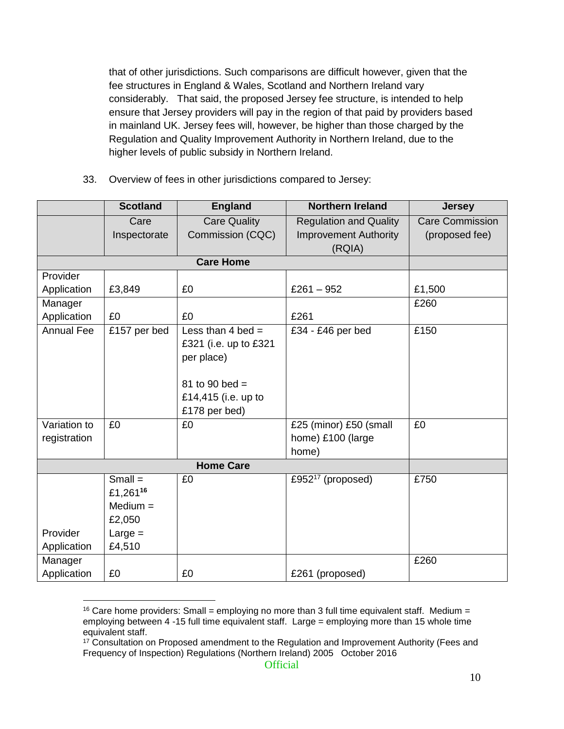that of other jurisdictions. Such comparisons are difficult however, given that the fee structures in England & Wales, Scotland and Northern Ireland vary considerably. That said, the proposed Jersey fee structure, is intended to help ensure that Jersey providers will pay in the region of that paid by providers based in mainland UK. Jersey fees will, however, be higher than those charged by the Regulation and Quality Improvement Authority in Northern Ireland, due to the higher levels of public subsidy in Northern Ireland.

33. Overview of fees in other jurisdictions compared to Jersey:

|                   | <b>Scotland</b> | <b>England</b>        | <b>Northern Ireland</b>       | <b>Jersey</b>          |
|-------------------|-----------------|-----------------------|-------------------------------|------------------------|
|                   | Care            | <b>Care Quality</b>   | <b>Regulation and Quality</b> | <b>Care Commission</b> |
|                   | Inspectorate    | Commission (CQC)      | <b>Improvement Authority</b>  | (proposed fee)         |
|                   |                 |                       | (RQIA)                        |                        |
|                   |                 | <b>Care Home</b>      |                               |                        |
| Provider          |                 |                       |                               |                        |
| Application       | £3,849          | £0                    | £261 $-952$                   | £1,500                 |
| Manager           |                 |                       |                               | £260                   |
| Application       | £0              | £0                    | £261                          |                        |
| <b>Annual Fee</b> | £157 per bed    | Less than 4 bed $=$   | £34 - £46 per bed             | £150                   |
|                   |                 | £321 (i.e. up to £321 |                               |                        |
|                   |                 | per place)            |                               |                        |
|                   |                 |                       |                               |                        |
|                   |                 | 81 to 90 bed =        |                               |                        |
|                   |                 | £14,415 (i.e. up to   |                               |                        |
|                   |                 | £178 per bed)         |                               |                        |
| Variation to      | £0              | £0                    | £25 (minor) £50 (small        | £0                     |
| registration      |                 |                       | home) £100 (large             |                        |
|                   |                 |                       | home)                         |                        |
|                   |                 | <b>Home Care</b>      |                               |                        |
|                   | $Small =$       | £0                    | £952 $17$ (proposed)          | £750                   |
|                   | £1,26116        |                       |                               |                        |
|                   | $Median =$      |                       |                               |                        |
|                   | £2,050          |                       |                               |                        |
| Provider          | $Large =$       |                       |                               |                        |
| Application       | £4,510          |                       |                               |                        |
| Manager           |                 |                       |                               | £260                   |
| Application       | £0              | £0                    | £261 (proposed)               |                        |

<sup>&</sup>lt;sup>16</sup> Care home providers: Small = employing no more than 3 full time equivalent staff. Medium = employing between 4 -15 full time equivalent staff. Large = employing more than 15 whole time equivalent staff.

<sup>&</sup>lt;sup>17</sup> Consultation on Proposed amendment to the Regulation and Improvement Authority (Fees and Frequency of Inspection) Regulations (Northern Ireland) 2005 October 2016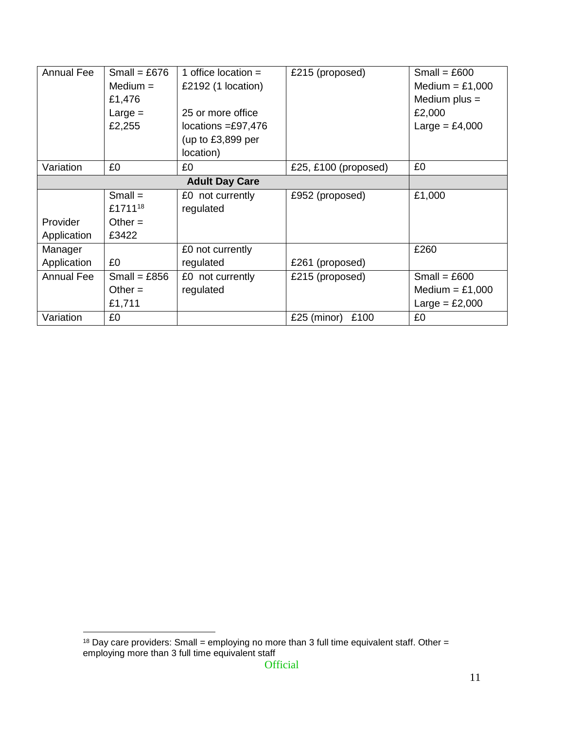| <b>Annual Fee</b>     | Small = £676        | 1 office location $=$       | £215 (proposed)      | Small = $£600$    |
|-----------------------|---------------------|-----------------------------|----------------------|-------------------|
|                       | $Median =$          | £2192 $(1$ location)        |                      | Medium = $£1,000$ |
|                       | £1,476              |                             |                      | Medium plus $=$   |
|                       | $Large =$           | 25 or more office           |                      | £2,000            |
|                       | £2,255              | locations $=\pounds 97,476$ |                      | Large = $£4,000$  |
|                       |                     | (up to $£3,899$ per         |                      |                   |
|                       |                     | location)                   |                      |                   |
| Variation             | £0                  | £0                          | £25, £100 (proposed) | £0                |
| <b>Adult Day Care</b> |                     |                             |                      |                   |
|                       | $Small =$           | £0 not currently            | £952 (proposed)      | £1,000            |
|                       | £1711 <sup>18</sup> | regulated                   |                      |                   |
| Provider              | Other $=$           |                             |                      |                   |
| Application           | £3422               |                             |                      |                   |
| Manager               |                     | £0 not currently            |                      | £260              |
| Application           | £0                  | regulated                   | £261 (proposed)      |                   |
| Annual Fee            | Small = $£856$      | £0 not currently            | £215 (proposed)      | Small = $£600$    |
|                       | Other $=$           | regulated                   |                      | Medium = $£1,000$ |
|                       | £1,711              |                             |                      | Large = $£2,000$  |
| Variation             | £0                  |                             | £25 (minor)<br>£100  | £0                |

<sup>&</sup>lt;sup>18</sup> Day care providers: Small = employing no more than 3 full time equivalent staff. Other = employing more than 3 full time equivalent staff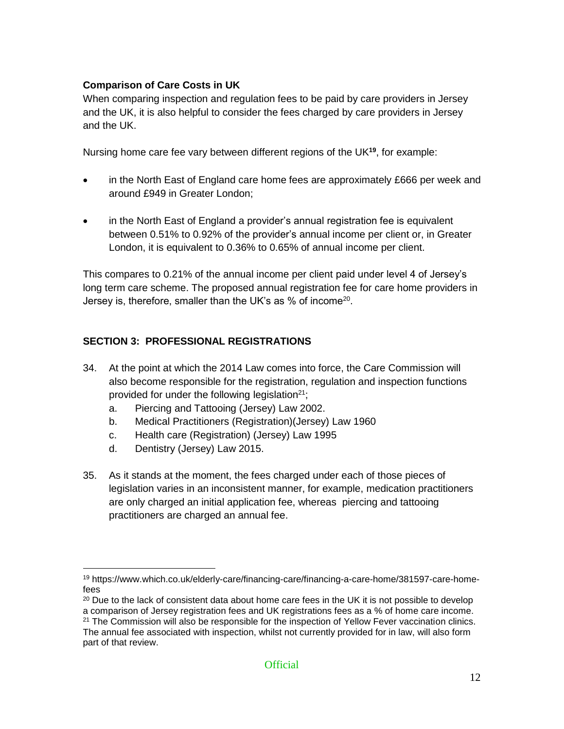#### **Comparison of Care Costs in UK**

When comparing inspection and regulation fees to be paid by care providers in Jersey and the UK, it is also helpful to consider the fees charged by care providers in Jersey and the UK.

Nursing home care fee vary between different regions of the UK**<sup>19</sup>** , for example:

- in the North East of England care home fees are approximately £666 per week and around £949 in Greater London;
- in the North East of England a provider's annual registration fee is equivalent between 0.51% to 0.92% of the provider's annual income per client or, in Greater London, it is equivalent to 0.36% to 0.65% of annual income per client.

This compares to 0.21% of the annual income per client paid under level 4 of Jersey's long term care scheme. The proposed annual registration fee for care home providers in Jersey is, therefore, smaller than the UK's as % of income<sup>20</sup>.

#### **SECTION 3: PROFESSIONAL REGISTRATIONS**

- 34. At the point at which the 2014 Law comes into force, the Care Commission will also become responsible for the registration, regulation and inspection functions provided for under the following legislation $21$ ;
	- a. Piercing and Tattooing (Jersey) Law 2002.
	- b. Medical Practitioners (Registration)(Jersey) Law 1960
	- c. Health care (Registration) (Jersey) Law 1995
	- d. Dentistry (Jersey) Law 2015.
- 35. As it stands at the moment, the fees charged under each of those pieces of legislation varies in an inconsistent manner, for example, medication practitioners are only charged an initial application fee, whereas piercing and tattooing practitioners are charged an annual fee.

 $\overline{a}$ <sup>19</sup> https://www.which.co.uk/elderly-care/financing-care/financing-a-care-home/381597-care-homefees

 $20$  Due to the lack of consistent data about home care fees in the UK it is not possible to develop a comparison of Jersey registration fees and UK registrations fees as a % of home care income. <sup>21</sup> The Commission will also be responsible for the inspection of Yellow Fever vaccination clinics. The annual fee associated with inspection, whilst not currently provided for in law, will also form part of that review.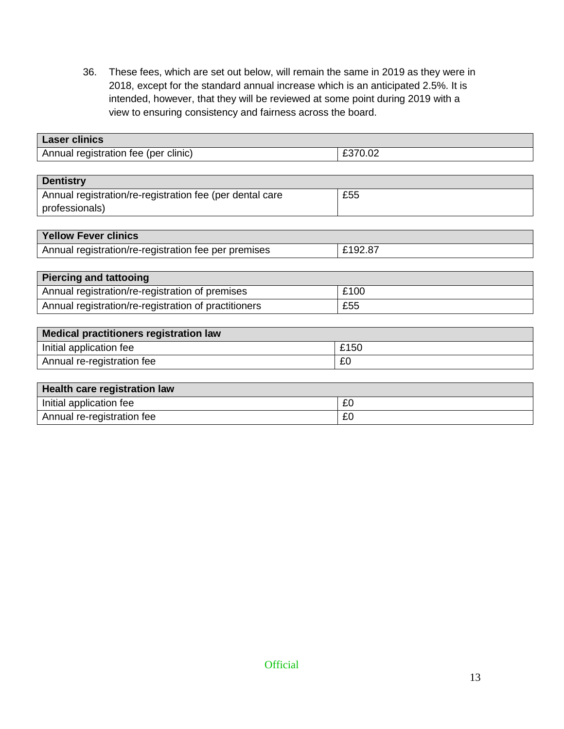36. These fees, which are set out below, will remain the same in 2019 as they were in 2018, except for the standard annual increase which is an anticipated 2.5%. It is intended, however, that they will be reviewed at some point during 2019 with a view to ensuring consistency and fairness across the board.

| <b>Laser clinics</b>                                     |         |
|----------------------------------------------------------|---------|
| Annual registration fee (per clinic)                     | £370.02 |
|                                                          |         |
| <b>Dentistry</b>                                         |         |
| Annual registration/re-registration fee (per dental care | £55     |
| professionals)                                           |         |
|                                                          |         |
| <b>Yellow Fever clinics</b>                              |         |
| Annual registration/re-registration fee per premises     | £192.87 |
|                                                          |         |
| <b>Piercing and tattooing</b>                            |         |
| Annual registration/re-registration of premises          | £100    |
| Annual registration/re-registration of practitioners     | £55     |
|                                                          |         |
| <b>Medical practitioners registration law</b>            |         |
| Initial application fee                                  | £150    |
| Annual re-registration fee                               | £0      |
|                                                          |         |
| Health care registration law                             |         |
| Initial application fee                                  | £0      |

Annual re-registration fee <br>
EQ